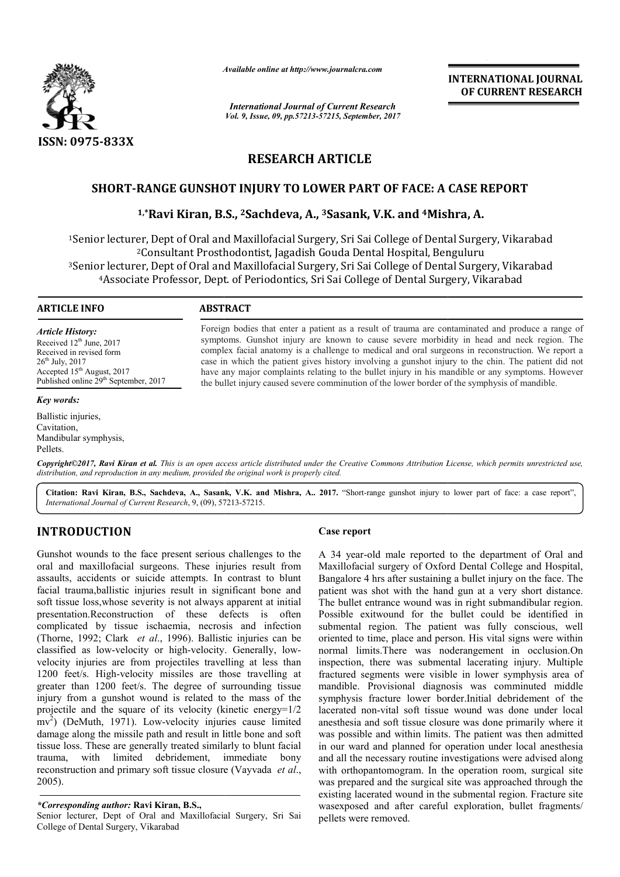

*Available online at http://www.journal http://www.journalcra.com*

*International Journal of Current Research Vol. 9, Issue, 09, pp.57213-57215, September, 2017* **INTERNATIONAL JOURNAL OF CURRENT RESEARCH** 

# **RESEARCH ARTICLE**

# **SHORT-RANGE GUNSHOT INJURY TO LOWER PART OF FACE: A CASE REPORT**

# RANGE GUNSHOT INJURY TO LOWER PART OF FACE: A CASE I<br><sup>1,</sup>\*Ravi Kiran, B.S., <sup>2</sup>Sachdeva, A., <sup>3</sup>Sasank, V.K. and <sup>4</sup>Mishra, A.

<sup>1</sup>Senior lecturer, Dept of Oral and Maxillofacial Surgery, Sri Sai College of Dental Surgery, Vikarabad <sup>2</sup>Consultant Prosthodontist, Jagadish Gouda Dental Hospital, Benguluru <sup>3</sup>Senior lecturer, Dept of Oral and Maxillofacial Surgery, Sri Sai College of Dental Surgery, Vikarabad<br>4Associate Professor, Dept. of Periodontics, Sri Sai College of Dental Surgery, Vikarabad 4Associate Professor, Dept. of Periodontics, Sri Sai College of Dental Surgery, Vikarabad College of Dental Surg<br>tal Hospital, Benguluru<br>College of Dental Surg

#### **ARTICLE INFO ABSTRACT**

*Article History:* Received 12<sup>th</sup> June, 2017 Received in revised form 26<sup>th</sup> July, 2017 Accepted 15<sup>th</sup> August, 2017 Published online 29<sup>th</sup> September, 2017

#### *Key words:*

Ballistic injuries, Cavitation, Mandibular symphysis, Pellets.

Foreign bodies that enter a patient as a result of trauma are contaminated and produce a range of symptoms. Gunshot injury are known to cause severe morbidity in head and neck region. The complex facial anatomy is a challenge to medical and oral surgeons in reconstruction. We report a symptoms. Gunshot injury are known to cause severe morbidity in head and neck region. The complex facial anatomy is a challenge to medical and oral surgeons in reconstruction. We report a case in which the patient gives hi have any major complaints relating to the bullet injury in his mandible or any symptoms. However have any major complaints relating to the bullet injury in his mandible or any symptoms. Hother bullet injury caused severe comminution of the lower border of the symphysis of mandible.

Copyright©2017, Ravi Kiran et al. This is an open access article distributed under the Creative Commons Attribution License, which permits unrestricted use, *distribution, and reproduction in any medium, provided the original work is properly cited.*

Citation: Ravi Kiran, B.S., Sachdeva, A., Sasank, V.K. and Mishra, A.. 2017. "Short-range gunshot injury to lower part of face: a case report", *International Journal of Current Research*, 9, (09), 572 57213-57215.

# **INTRODUCTION**

Gunshot wounds to the face present serious challenges to the oral and maxillofacial surgeons. These injuries result from assaults, accidents or suicide attempts. In contrast to blunt facial trauma,ballistic injuries result in significant bone and soft tissue loss,whose severity is not always apparent at initial presentation.Reconstruction of these defects is often complicated by tissue ischaemia, necrosis and infection (Thorne, 1992; Clark *et al*., 1996). Ballistic injuries can be complicated by tissue ischaemia, necrosis and infection (Thorne, 1992; Clark *et al.*, 1996). Ballistic injuries can be classified as low-velocity or high-velocity. Generally, lowvelocity injuries are from projectiles travelling at less than 1200 feet/s. High-velocity missiles are those travelling at greater than 1200 feet/s. The degree of surrounding tissue injury from a gunshot wound is related to the mass of the projectile and the square of its velocity (kinetic energy=1/2 mv<sup>2</sup>) (DeMuth, 1971). Low-velocity injurie damage along the missile path and result in little bone and soft tissue loss. These are generally treated similarly to blunt facial trauma, with limited debridement, immediate bony reconstruction and primary soft tissue closure (Vayvada *et al*., 2005). ty missiles are those travelling at<br>The degree of surrounding tissue<br>vound is related to the mass of the<br>of its velocity (kinetic energy= $1/2$ <br>Low-velocity injuries cause limited

### *\*Corresponding author:* **Ravi Kiran, B.S.,**

Senior lecturer, Dept of Oral and Maxillofacial Surgery, Sri Sai College of Dental Surgery, Vikarabad

#### **Case report**

A 34 year-old male reported to the department of Oral and Maxillofacial surgery of Oxford Dental College and Hospital, Bangalore 4 hrs after sustaining a bullet injury on the face. The patient was shot with the hand gun at a very short distance. The bullet entrance wound was in right submandibular region. A 34 year-old male reported to the department of Oral and Maxillofacial surgery of Oxford Dental College and Hospital, Bangalore 4 hrs after sustaining a bullet injury on the face. The patient was shot with the hand gun at submental region. The patient was fully conscious, well oriented to time, place and person. His vital signs were within normal limits.There was noderangement in occlusion.On submental region. The patient was fully conscious, well<br>oriented to time, place and person. His vital signs were within<br>normal limits.There was noderangement in occlusion.On<br>inspection, there was submental lacerating injur fractured segments were visible in lower symphysis area of mandible. Provisional diagnosis was comminuted middle symphysis fracture lower border.Initial debridement of the lacerated non-vital soft tissue wound was done under local anesthesia and soft tissue closure was done primarily where it was possible and within limits. The patient was then admitted in our ward and planned for operation under local anesthesia and all the necessary routine investigations were advised along with orthopantomogram. In the operation room, surgical site was prepared and the surgical site was approached through the existing lacerated wound in the submental region. Fracture site wasexposed and after careful exploration, bullet fragments/ pellets were removed. Example 11 **INTERNATIONAL JOURNAL CONTIFICATION CONTIFICATION**<br>
INTERNATION CONTIFICATION CONTIFICATION CONTIFICATION (15, Sappromber, 2017)<br> **ETICLE**<br> **ERE PART OF FACE: A CASE REPORT**<br> **ERE PART OF FACE: A CASE REPORT**<br>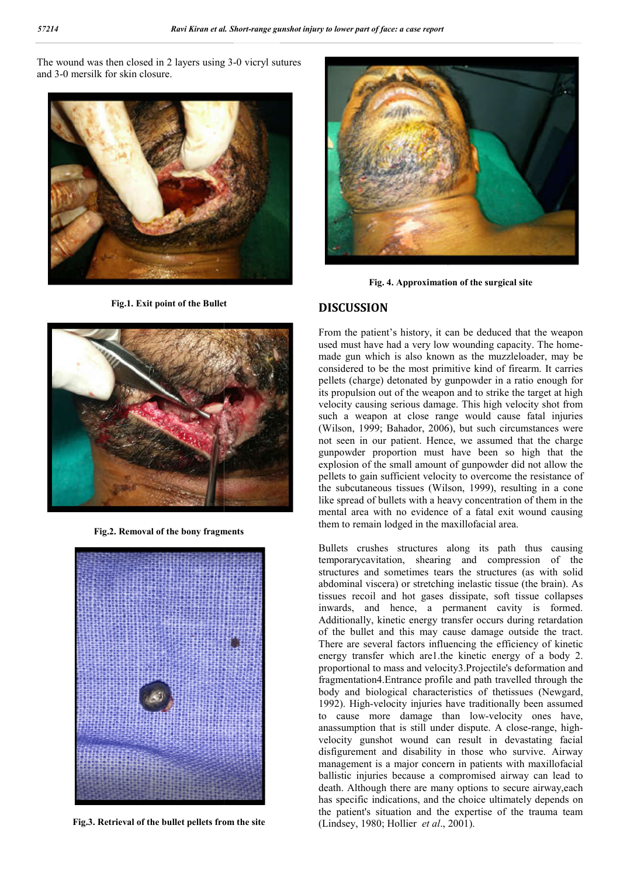The wound was then closed in 2 layers using 3 3-0 vicryl sutures and 3-0 mersilk for skin closure.



**Fig.1. Exit point of the Bullet**



**Fig.2. Removal of the bony fragments**



**Fig.3. Retrieval of the bullet pellets from the site**



**Fig. 4. Approximation of the surgical site** 

# **DISCUSSION**

From the patient's history, it can be deduced that the weapon From the patient's history, it can be deduced that the weapon used must have had a very low wounding capacity. The homemade gun which is also known as the muzzleloader, may be considered to be the most primitive kind of firearm. It carries pellets (charge) detonated by gunpowder in a ratio enough for its propulsion out of the weapon and to strike the target at high velocity causing serious damage. This high velocity shot from such a weapon at close range would cause fatal injuries (Wilson, 1999; Bahador, 2006), but such circumstances were not seen in our patient. Hence, we assumed that the charge gunpowder proportion must have been so high that the explosion of the small amount of gunpowder did not allow the pellets to gain sufficient velocity to overcome the resistance of not seen in our patient. Hence, we assumed that the charge gunpowder proportion must have been so high that the explosion of the small amount of gunpowder did not allow the pellets to gain sufficient velocity to overcome t like spread of bullets with a heavy concentration of them in the mental area with no evidence of a fatal exit wound causing them to remain lodged in the maxillofacial area. de gun which is also known as the muzzleloader, may be noticed to be the most primitive kind of firearm. It carries lets (charge) detonated by gunpowder in a ratio enough for propulsion out of the weapon and to strike the pread of bullets with a heavy concentration of them<br>al area with no evidence of a fatal exit wound ca<br>to remain lodged in the maxillofacial area.

Bullets crushes structures along its path thus causing temporarycavitation, shearing and compression of the structures and sometimes tears the structures (as with solid abdominal viscera) or stretching inelastic tissue (the brain). As tissues recoil and hot gases dissipate, soft tissue collapses tissues recoil and hot gases dissipate, soft tissue collapses<br>inwards, and hence, a permanent cavity is formed. Additionally, kinetic energy transfer occurs during retardation of the bullet and this may cause damage outside the tract. There are several factors influencing the efficiency of kinetic energy transfer which are 1. the kinetic energy of a body 2. proportional to mass and velocity3.Projectile's deformation and fragmentation4.Entrance profile and path travelled through the body and biological characteristics of thetissues (Newgard, 1992). High-velocity injuries have traditionally been assumed 1992). High-velocity injuries have traditionally been assumed to cause more damage than low-velocity ones have, anassumption that is still under dispute. A close-range, highvelocity gunshot wound can result in devastating facial disfigurement and disability in those who survive. Airway management is a major concern in patients with maxillofacial ballistic injuries because a compromised airway can lead to death. Although there are many options to secure airway,each has specific indications, and the choice ultimately depends on the patient's situation and the expertise of the trauma team (Lindsey, 1980; Hollier *et al*., 2001) Bullets crushes structures along its path thus causing<br>temporarycavitation, shearing and compression of the<br>structures and sometimes tears the structures (as with solid<br>abdominal viscera) or stretching inelastic tissue (th Additionally, kinetic energy transfer occurs during retardation of the bullet and this may cause damage outside the tract.<br>There are several factors influencing the efficiency of kinetic energy transfer which arel.the kine mass and velocity3.Projectile's deformation and<br>Entrance profile and path travelled through the<br>ogical characteristics of thetissues (Newgard, agement is a major concern in patients with maxil<br>stic injuries because a compromised airway can<br>h. Although there are many options to secure airw<br>specific indications, and the choice ultimately dep<br>patient's situation and